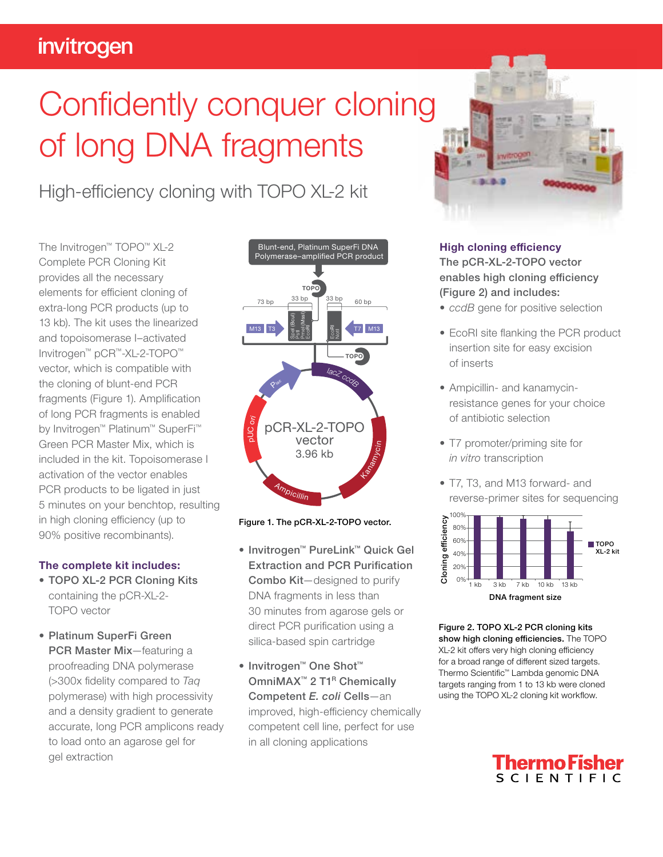## invitrogen

# Confidently conquer cloning of long DNA fragments

High-efficiency cloning with TOPO XL-2 kit

The Invitrogen™ TOPO™ XL-2 Complete PCR Cloning Kit provides all the necessary elements for efficient cloning of extra-long PCR products (up to 13 kb). The kit uses the linearized and topoisomerase I–activated Invitrogen™ pCR™-XL-2-TOPO™ vector, which is compatible with the cloning of blunt-end PCR fragments (Figure 1). Amplification of long PCR fragments is enabled by Invitrogen™ Platinum™ SuperFi™ Green PCR Master Mix, which is included in the kit. Topoisomerase I activation of the vector enables PCR products to be ligated in just 5 minutes on your benchtop, resulting in high cloning efficiency (up to 90% positive recombinants).

#### The complete kit includes:

- TOPO XL-2 PCR Cloning Kits containing the pCR-XL-2- TOPO vector
- Platinum SuperFi Green PCR Master Mix—featuring a proofreading DNA polymerase (>300x fidelity compared to *Taq*  polymerase) with high processivity and a density gradient to generate accurate, long PCR amplicons ready to load onto an agarose gel for gel extraction



Figure 1. The pCR-XL-2-TOPO vector.

- Invitrogen™ PureLink™ Quick Gel Extraction and PCR Purification Combo Kit—designed to purify DNA fragments in less than 30 minutes from agarose gels or direct PCR purification using a silica-based spin cartridge
- Invitrogen™ One Shot™ OmniMAX<sup>™</sup> 2 T1<sup>R</sup> Chemically Competent *E. coli* Cells—an improved, high-efficiency chemically competent cell line, perfect for use in all cloning applications



#### High cloning efficiency

The pCR-XL-2-TOPO vector enables high cloning efficiency (Figure 2) and includes:

- *ccdB* gene for positive selection
- EcoRI site flanking the PCR product insertion site for easy excision of inserts
- Ampicillin- and kanamycinresistance genes for your choice of antibiotic selection
- T7 promoter/priming site for *in vitro* transcription
- T7, T3, and M13 forward- and reverse-primer sites for sequencing



Figure 2. TOPO XL-2 PCR cloning kits show high cloning efficiencies. The TOPO XL-2 kit offers very high cloning efficiency for a broad range of different sized targets. Thermo Scientific™ Lambda genomic DNA targets ranging from 1 to 13 kb were cloned using the TOPO XL-2 cloning kit workflow.